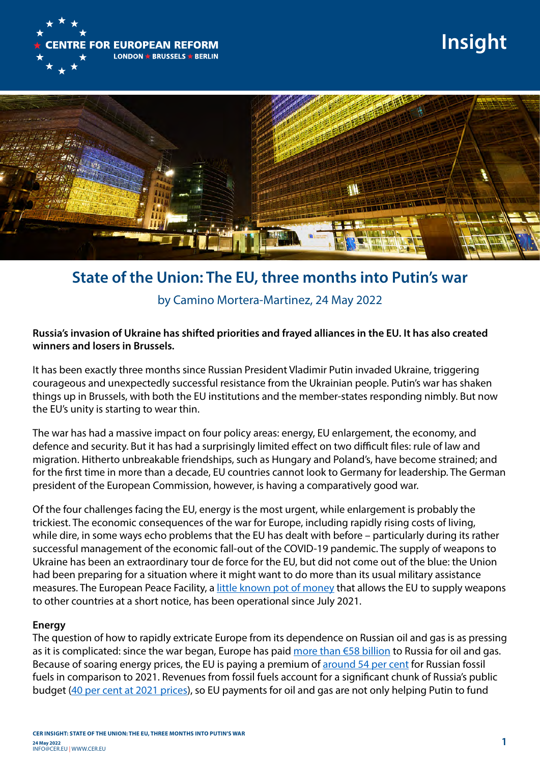

# **Insight**



## **State of the Union: The EU, three months into Putin's war**

### by Camino Mortera-Martinez, 24 May 2022

#### **Russia's invasion of Ukraine has shifted priorities and frayed alliances in the EU. It has also created winners and losers in Brussels.**

It has been exactly three months since Russian President Vladimir Putin invaded Ukraine, triggering courageous and unexpectedly successful resistance from the Ukrainian people. Putin's war has shaken things up in Brussels, with both the EU institutions and the member-states responding nimbly. But now the EU's unity is starting to wear thin.

The war has had a massive impact on four policy areas: energy, EU enlargement, the economy, and defence and security. But it has had a surprisingly limited effect on two difficult files: rule of law and migration. Hitherto unbreakable friendships, such as Hungary and Poland's, have become strained; and for the first time in more than a decade, EU countries cannot look to Germany for leadership. The German president of the European Commission, however, is having a comparatively good war.

Of the four challenges facing the EU, energy is the most urgent, while enlargement is probably the trickiest. The economic consequences of the war for Europe, including rapidly rising costs of living, while dire, in some ways echo problems that the EU has dealt with before – particularly during its rather successful management of the economic fall-out of the COVID-19 pandemic. The supply of weapons to Ukraine has been an extraordinary tour de force for the EU, but did not come out of the blue: the Union had been preparing for a situation where it might want to do more than its usual military assistance measures. The European Peace Facility, a [little known pot of money](https://www.cer.eu/insights/european-peace-facility-really-about-peace) that allows the EU to supply weapons to other countries at a short notice, has been operational since July 2021.

#### **Energy**

The question of how to rapidly extricate Europe from its dependence on Russian oil and gas is as pressing as it is complicated: since the war began, Europe has paid [more than €58 billion](https://energyandcleanair.org/publication/russian-fossil-exports-first-two-months/) to Russia for oil and gas. Because of soaring energy prices, the EU is paying a premium of [around 54 per cent](https://www.bbc.com/news/58888451) for Russian fossil fuels in comparison to 2021. Revenues from fossil fuels account for a significant chunk of Russia's public budget ([40 per cent at 2021 prices\)](https://www.dropbox.com/s/wmptre3vkfkqysf/Guriev%20Itskhoki.pdf?dl=0), so EU payments for oil and gas are not only helping Putin to fund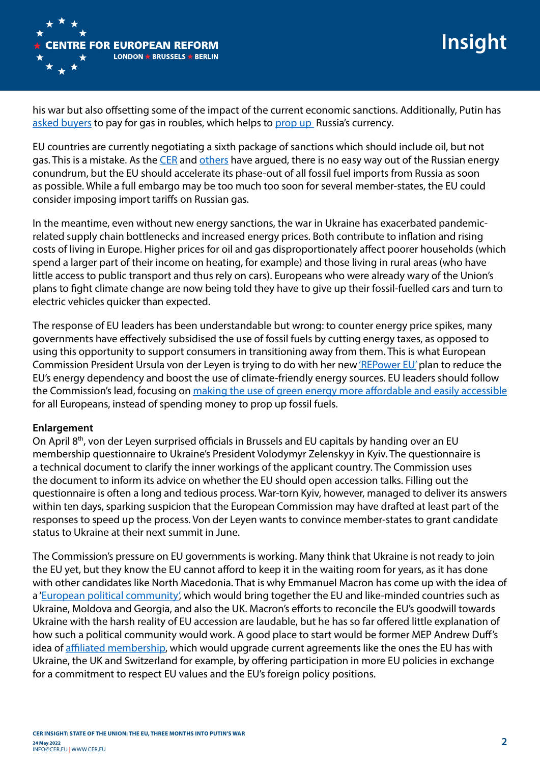

**Insight**

his war but also offsetting some of the impact of the current economic sanctions. Additionally, Putin has [asked buyers](https://www.bruegel.org/2022/04/a-sanctions-counter-measure-gas-payments-to-russia-in-rubles/) to pay for gas in roubles, which helps to [prop up](https://cer.eu/publications/archive/bulletin-article/2022/europe-must-stop-paying-russias-war) Russia's currency.

EU countries are currently negotiating a sixth package of sanctions which should include oil, but not gas. This is a mistake. As the [CER](https://cer.eu/publications/archive/bulletin-article/2022/europe-must-stop-paying-russias-war) and [others](https://www.bruegel.org/2022/04/cutting-putins-energy-rent-smart-sanctioning-russian-oil-and-gas/) have argued, there is no easy way out of the Russian energy conundrum, but the EU should accelerate its phase-out of all fossil fuel imports from Russia as soon as possible. While a full embargo may be too much too soon for several member-states, the EU could consider imposing import tariffs on Russian gas.

In the meantime, even without new energy sanctions, the war in Ukraine has exacerbated pandemicrelated supply chain bottlenecks and increased energy prices. Both contribute to inflation and rising costs of living in Europe. Higher prices for oil and gas disproportionately affect poorer households (which spend a larger part of their income on heating, for example) and those living in rural areas (who have little access to public transport and thus rely on cars). Europeans who were already wary of the Union's plans to fight climate change are now being told they have to give up their fossil-fuelled cars and turn to electric vehicles quicker than expected.

The response of EU leaders has been understandable but wrong: to counter energy price spikes, many governments have effectively subsidised the use of fossil fuels by cutting energy taxes, as opposed to using this opportunity to support consumers in transitioning away from them. This is what European Commission President Ursula von der Leyen is trying to do with her new ['REPower EU'](https://ec.europa.eu/commission/presscorner/detail/en/ip_22_3131) plan to reduce the EU's energy dependency and boost the use of climate-friendly energy sources. EU leaders should follow the Commission's lead, focusing on [making the use of green energy more affordable and easily accessible](https://cer.eu/insights/high-energy-prices-threaten-eu-ets) for all Europeans, instead of spending money to prop up fossil fuels.

#### **Enlargement**

On April 8<sup>th</sup>, von der Leyen surprised officials in Brussels and EU capitals by handing over an EU membership questionnaire to Ukraine's President Volodymyr Zelenskyy in Kyiv. The questionnaire is a technical document to clarify the inner workings of the applicant country. The Commission uses the document to inform its advice on whether the EU should open accession talks. Filling out the questionnaire is often a long and tedious process. War-torn Kyiv, however, managed to deliver its answers within ten days, sparking suspicion that the European Commission may have drafted at least part of the responses to speed up the process. Von der Leyen wants to convince member-states to grant candidate status to Ukraine at their next summit in June.

The Commission's pressure on EU governments is working. Many think that Ukraine is not ready to join the EU yet, but they know the EU cannot afford to keep it in the waiting room for years, as it has done with other candidates like North Macedonia. That is why Emmanuel Macron has come up with the idea of a '[European political community',](https://presidence-francaise.consilium.europa.eu/en/news/speech-by-emmanuel-macron-at-the-closing-ceremony-of-the-conference-on-the-future-of-europe/) which would bring together the EU and like-minded countries such as Ukraine, Moldova and Georgia, and also the UK. Macron's efforts to reconcile the EU's goodwill towards Ukraine with the harsh reality of EU accession are laudable, but he has so far offered little explanation of how such a political community would work. A good place to start would be former MEP Andrew Duff's idea of [affiliated membership](https://www.politico.eu/article/ukraine-isnt-ready-for-eu-membership-the-eu-isnt-ready-for-it-either/), which would upgrade current agreements like the ones the EU has with Ukraine, the UK and Switzerland for example, by offering participation in more EU policies in exchange for a commitment to respect EU values and the EU's foreign policy positions.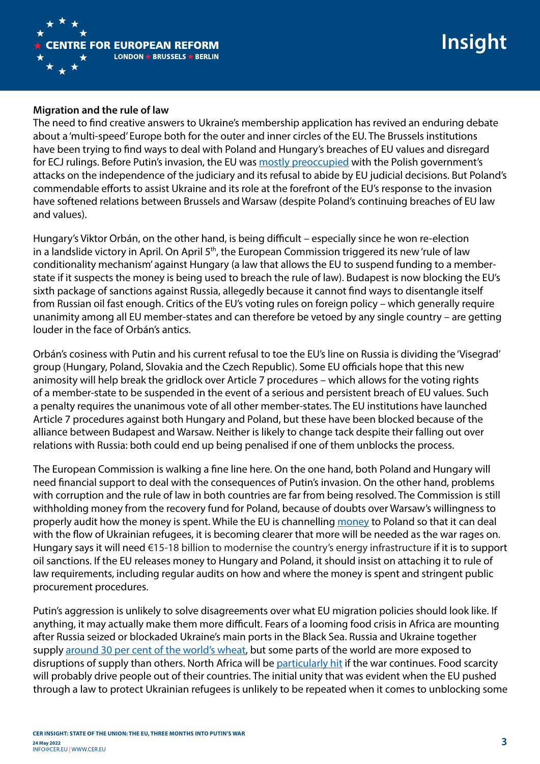

#### **Migration and the rule of law**

The need to find creative answers to Ukraine's membership application has revived an enduring debate about a 'multi-speed' Europe both for the outer and inner circles of the EU. The Brussels institutions have been trying to find ways to deal with Poland and Hungary's breaches of EU values and disregard for ECJ rulings. Before Putin's invasion, the EU was [mostly preoccupied](https://cer.eu/insights/how-solve-problem-poland) with the Polish government's attacks on the independence of the judiciary and its refusal to abide by EU judicial decisions. But Poland's commendable efforts to assist Ukraine and its role at the forefront of the EU's response to the invasion have softened relations between Brussels and Warsaw (despite Poland's continuing breaches of EU law and values).

Hungary's Viktor Orbán, on the other hand, is being difficult – especially since he won re-election in a landslide victory in April. On April 5<sup>th</sup>, the European Commission triggered its new 'rule of law conditionality mechanism' against Hungary (a law that allows the EU to suspend funding to a memberstate if it suspects the money is being used to breach the rule of law). Budapest is now blocking the EU's sixth package of sanctions against Russia, allegedly because it cannot find ways to disentangle itself from Russian oil fast enough. Critics of the EU's voting rules on foreign policy – which generally require unanimity among all EU member-states and can therefore be vetoed by any single country – are getting louder in the face of Orbán's antics.

Orbán's cosiness with Putin and his current refusal to toe the EU's line on Russia is dividing the 'Visegrad' group (Hungary, Poland, Slovakia and the Czech Republic). Some EU officials hope that this new animosity will help break the gridlock over Article 7 procedures – which allows for the voting rights of a member-state to be suspended in the event of a serious and persistent breach of EU values. Such a penalty requires the unanimous vote of all other member-states. The EU institutions have launched Article 7 procedures against both Hungary and Poland, but these have been blocked because of the alliance between Budapest and Warsaw. Neither is likely to change tack despite their falling out over relations with Russia: both could end up being penalised if one of them unblocks the process.

The European Commission is walking a fine line here. On the one hand, both Poland and Hungary will need financial support to deal with the consequences of Putin's invasion. On the other hand, problems with corruption and the rule of law in both countries are far from being resolved. The Commission is still withholding money from the recovery fund for Poland, because of doubts over Warsaw's willingness to properly audit how the money is spent. While the EU is channelling [money](https://twitter.com/CaminoMortera/status/1510931755250987010) to Poland so that it can deal with the flow of Ukrainian refugees, it is becoming clearer that more will be needed as the war rages on. Hungary says it will need €15-18 billion to modernise the country's energy infrastructure if it is to support oil sanctions. If the EU releases money to Hungary and Poland, it should insist on attaching it to rule of law requirements, including regular audits on how and where the money is spent and stringent public procurement procedures.

Putin's aggression is unlikely to solve disagreements over what EU migration policies should look like. If anything, it may actually make them more difficult. Fears of a looming food crisis in Africa are mounting after Russia seized or blockaded Ukraine's main ports in the Black Sea. Russia and Ukraine together supply [around 30 per cent of the world's wheat,](http://www.amis-outlook.org/fileadmin/user_upload/amis/docs/Market_monitor/AMIS_Market_Monitor_current.pdf) but some parts of the world are more exposed to disruptions of supply than others. North Africa will be [particularly hit](https://www.ifw-kiel.de/publications/media-information/2022/cereal-exports-ukraine-default-hits-african-countries-hard/) if the war continues. Food scarcity will probably drive people out of their countries. The initial unity that was evident when the EU pushed through a law to protect Ukrainian refugees is unlikely to be repeated when it comes to unblocking some